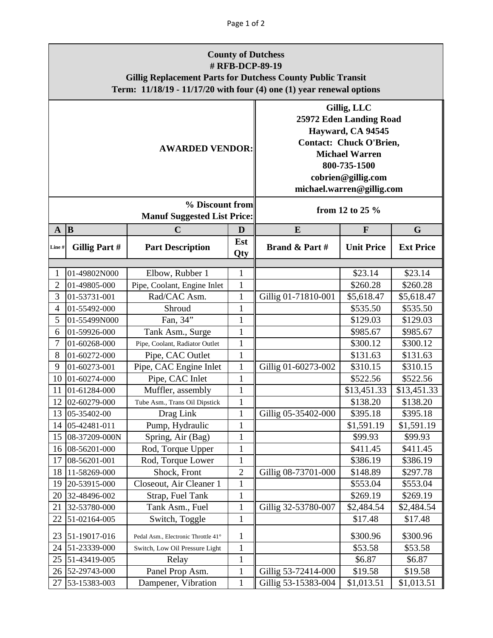| <b>County of Dutchess</b><br># RFB-DCP-89-19<br><b>Gillig Replacement Parts for Dutchess County Public Transit</b><br>Term: 11/18/19 - 11/17/20 with four (4) one (1) year renewal options |               |                                                       |                                                                                                                                                                                           |                     |                   |                  |  |  |  |  |  |
|--------------------------------------------------------------------------------------------------------------------------------------------------------------------------------------------|---------------|-------------------------------------------------------|-------------------------------------------------------------------------------------------------------------------------------------------------------------------------------------------|---------------------|-------------------|------------------|--|--|--|--|--|
|                                                                                                                                                                                            |               | <b>AWARDED VENDOR:</b>                                | Gillig, LLC<br>25972 Eden Landing Road<br>Hayward, CA 94545<br><b>Contact: Chuck O'Brien,</b><br><b>Michael Warren</b><br>800-735-1500<br>cobrien@gillig.com<br>michael.warren@gillig.com |                     |                   |                  |  |  |  |  |  |
|                                                                                                                                                                                            |               | % Discount from<br><b>Manuf Suggested List Price:</b> | from 12 to 25 %                                                                                                                                                                           |                     |                   |                  |  |  |  |  |  |
| $\mathbf{A}$                                                                                                                                                                               | B             | $\mathbf C$                                           | D                                                                                                                                                                                         | E                   | $\mathbf{F}$      | G                |  |  |  |  |  |
| Line#                                                                                                                                                                                      | Gillig Part # | <b>Part Description</b>                               | Est<br>Qty                                                                                                                                                                                | Brand & Part #      | <b>Unit Price</b> | <b>Ext Price</b> |  |  |  |  |  |
| 1                                                                                                                                                                                          | 01-49802N000  | Elbow, Rubber 1                                       | $\mathbf{1}$                                                                                                                                                                              |                     | \$23.14           | \$23.14          |  |  |  |  |  |
| $\sqrt{2}$                                                                                                                                                                                 | 01-49805-000  | Pipe, Coolant, Engine Inlet                           | $\mathbf{1}$                                                                                                                                                                              |                     | \$260.28          | \$260.28         |  |  |  |  |  |
| 3                                                                                                                                                                                          | 01-53731-001  | Rad/CAC Asm.                                          | $\mathbf{1}$                                                                                                                                                                              | Gillig 01-71810-001 | \$5,618.47        | \$5,618.47       |  |  |  |  |  |
| $\overline{4}$                                                                                                                                                                             | 01-55492-000  | Shroud                                                | $\mathbf{1}$                                                                                                                                                                              |                     | \$535.50          | \$535.50         |  |  |  |  |  |
| 5                                                                                                                                                                                          | 01-55499N000  | Fan, 34"                                              | $\mathbf{1}$                                                                                                                                                                              |                     | \$129.03          | \$129.03         |  |  |  |  |  |
| 6                                                                                                                                                                                          | 01-59926-000  | Tank Asm., Surge                                      | $\mathbf{1}$                                                                                                                                                                              |                     | \$985.67          | \$985.67         |  |  |  |  |  |
| 7                                                                                                                                                                                          | 01-60268-000  | Pipe, Coolant, Radiator Outlet                        | $\mathbf{1}$                                                                                                                                                                              |                     | \$300.12          | \$300.12         |  |  |  |  |  |
| 8                                                                                                                                                                                          | 01-60272-000  | Pipe, CAC Outlet                                      | $\mathbf{1}$                                                                                                                                                                              |                     | \$131.63          | \$131.63         |  |  |  |  |  |
| 9                                                                                                                                                                                          | 01-60273-001  | Pipe, CAC Engine Inlet                                | $\mathbf{1}$                                                                                                                                                                              | Gillig 01-60273-002 | \$310.15          | \$310.15         |  |  |  |  |  |
| 10                                                                                                                                                                                         | 01-60274-000  | Pipe, CAC Inlet                                       | $\mathbf{1}$                                                                                                                                                                              |                     | \$522.56          | \$522.56         |  |  |  |  |  |
| 11                                                                                                                                                                                         | 01-61284-000  | Muffler, assembly                                     | $\mathbf{1}$                                                                                                                                                                              |                     | \$13,451.33       | \$13,451.33      |  |  |  |  |  |
| 12                                                                                                                                                                                         | 02-60279-000  | Tube Asm., Trans Oil Dipstick                         |                                                                                                                                                                                           |                     | \$138.20          | \$138.20         |  |  |  |  |  |
| 13                                                                                                                                                                                         | 05-35402-00   | Drag Link                                             | $\mathbf{1}$                                                                                                                                                                              | Gillig 05-35402-000 | \$395.18          | \$395.18         |  |  |  |  |  |
| 14                                                                                                                                                                                         | 05-42481-011  | Pump, Hydraulic                                       | $\mathbf{1}$                                                                                                                                                                              |                     | \$1,591.19        | \$1,591.19       |  |  |  |  |  |
| 15                                                                                                                                                                                         | 08-37209-000N | Spring, Air (Bag)                                     | $\mathbf{1}$                                                                                                                                                                              |                     | \$99.93           | \$99.93          |  |  |  |  |  |
| 16                                                                                                                                                                                         | 08-56201-000  | Rod, Torque Upper                                     | $\mathbf{1}$                                                                                                                                                                              |                     | \$411.45          | \$411.45         |  |  |  |  |  |
| 17                                                                                                                                                                                         | 08-56201-001  | Rod, Torque Lower                                     | $\mathbf{1}$                                                                                                                                                                              |                     | \$386.19          | \$386.19         |  |  |  |  |  |
| 18                                                                                                                                                                                         | 11-58269-000  | Shock, Front                                          | $\overline{c}$                                                                                                                                                                            | Gillig 08-73701-000 | \$148.89          | \$297.78         |  |  |  |  |  |
| 19                                                                                                                                                                                         | 20-53915-000  | Closeout, Air Cleaner 1                               | $\mathbf{1}$                                                                                                                                                                              |                     | \$553.04          | \$553.04         |  |  |  |  |  |
| 20                                                                                                                                                                                         | 32-48496-002  | Strap, Fuel Tank                                      | $\mathbf{1}$                                                                                                                                                                              |                     | \$269.19          | \$269.19         |  |  |  |  |  |
| 21                                                                                                                                                                                         | 32-53780-000  | Tank Asm., Fuel                                       | $\mathbf{1}$                                                                                                                                                                              | Gillig 32-53780-007 | \$2,484.54        | \$2,484.54       |  |  |  |  |  |
| 22                                                                                                                                                                                         | 51-02164-005  | Switch, Toggle                                        | $\mathbf{1}$                                                                                                                                                                              |                     | \$17.48           | \$17.48          |  |  |  |  |  |
| 23                                                                                                                                                                                         | 51-19017-016  | Pedal Asm., Electronic Throttle 41°                   | $\mathbf{1}$                                                                                                                                                                              |                     | \$300.96          | \$300.96         |  |  |  |  |  |
| 24                                                                                                                                                                                         | 51-23339-000  | Switch, Low Oil Pressure Light                        | $\mathbf{1}$                                                                                                                                                                              |                     | \$53.58           | \$53.58          |  |  |  |  |  |
| 25                                                                                                                                                                                         | 51-43419-005  | Relay                                                 | $\mathbf{1}$                                                                                                                                                                              |                     | \$6.87            | \$6.87           |  |  |  |  |  |
| 26                                                                                                                                                                                         | 52-29743-000  | Panel Prop Asm.                                       | $\mathbf{1}$                                                                                                                                                                              | Gillig 53-72414-000 | \$19.58           | \$19.58          |  |  |  |  |  |
| 27                                                                                                                                                                                         | 53-15383-003  | Dampener, Vibration                                   | $\mathbf{1}$                                                                                                                                                                              | Gillig 53-15383-004 | \$1,013.51        | \$1,013.51       |  |  |  |  |  |